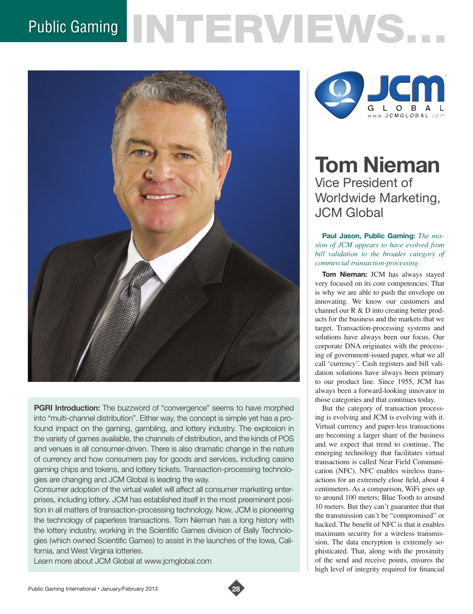# Public Gaming NTERVIEWS...



PGRI Introduction: The buzzword of "convergence" seems to have morphed into "multi-channel distribution". Either way, the concept is simple yet has a profound impact on the gaming, gambling, and lottery industry. The explosion in the variety of games available, the channels of distribution, and the kinds of POS and venues is all consumer-driven. There is also dramatic change in the nature of currency and how consumers pay for goods and services, including casino gaming chips and tokens, and lottery tickets. Transaction-processing technologies are changing and JCM Global is leading the way.

Consumer adoption of the virtual wallet will affect all consumer marketing enterprises, including lottery. JCM has established itself in the most preeminent position in all matters of transaction-processing technology. Now, JCM is pioneering the technology of paperless transactions. Tom Nieman has a long history with the lottery industry, working in the Scientific Games division of Bally Technologies (which owned Scientific Games) to assist in the launches of the Iowa, California, and West Virginia lotteries.

Learn more about JCM Global at www.jcmglobal.com



# **Tom Nieman** Vice President of Worldwide Marketing, JCM Global

**Paul Jason, Public Gaming:** *The mission of JCM appears to have evolved from bill validation to the broader category of commercial transaction-processing.*

**Tom Nieman:** JCM has always stayed very focused on its core competencies. That is why we are able to push the envelope on innovating. We know our customers and channel our R & D into creating better products for the business and the markets that we target. Transaction-processing systems and solutions have always been our focus. Our corporate DNA originates with the processing of government-issued paper, what we all call 'currency'. Cash registers and bill validation solutions have always been primary to our product line. Since 1955, JCM has always been a forward-looking innovator in those categories and that continues today.

But the category of transaction processing is evolving and JCM is evolving with it. Virtual currency and paper-less transactions are becoming a larger share of the business and we expect that trend to continue. The emerging technology that facilitates virtual transactions is called Near Field Communication (NFC). NFC enables wireless transactions for an extremely close field, about 4 centimeters. As a comparison, WiFi goes up to around 100 meters; Blue Tooth to around 10 meters. But they can't guarantee that that the transmission can't be "compromised" or hacked. The benefit of NFC is that it enables maximum security for a wireless transmission. The data encryption is extremely sophisticated. That, along with the proximity of the send and receive points, ensures the high level of integrity required for financial

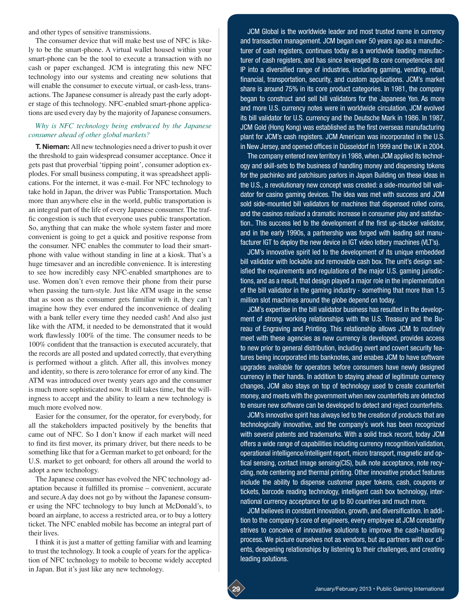and other types of sensitive transmissions.

The consumer device that will make best use of NFC is likely to be the smart-phone. A virtual wallet housed within your smart-phone can be the tool to execute a transaction with no cash or paper exchanged. JCM is integrating this new NFC technology into our systems and creating new solutions that will enable the consumer to execute virtual, or cash-less, transactions. The Japanese consumer is already past the early adopter stage of this technology. NFC-enabled smart-phone applications are used every day by the majority of Japanese consumers.

#### *Why is NFC technology being embraced by the Japanese consumer ahead of other global markets?*

**T. Nieman:** All new technologies need a driver to push it over the threshold to gain widespread consumer acceptance. Once it gets past that proverbial 'tipping point', consumer adoption explodes. For small business computing, it was spreadsheet applications. For the internet, it was e-mail. For NFC technology to take hold in Japan, the driver was Public Transportation. Much more than anywhere else in the world, public transportation is an integral part of the life of every Japanese consumer. The traffic congestion is such that everyone uses public transportation. So, anything that can make the whole system faster and more convenient is going to get a quick and positive response from the consumer. NFC enables the commuter to load their smartphone with value without standing in line at a kiosk. That's a huge timesaver and an incredible convenience. It is interesting to see how incredibly easy NFC-enabled smartphones are to use. Women don't even remove their phone from their purse when passing the turn-style. Just like ATM usage in the sense that as soon as the consumer gets familiar with it, they can't imagine how they ever endured the inconvenience of dealing with a bank teller every time they needed cash! And also just like with the ATM, it needed to be demonstrated that it would work flawlessly 100% of the time. The consumer needs to be 100% confident that the transaction is executed accurately, that the records are all posted and updated correctly, that everything is performed without a glitch. After all, this involves money and identity, so there is zero tolerance for error of any kind. The ATM was introduced over twenty years ago and the consumer is much more sophisticated now. It still takes time, but the willingness to accept and the ability to learn a new technology is much more evolved now.

Easier for the consumer, for the operator, for everybody, for all the stakeholders impacted positively by the benefits that came out of NFC. So I don't know if each market will need to find its first mover, its primary driver, but there needs to be something like that for a German market to get onboard; for the U.S. market to get onboard; for others all around the world to adopt a new technology.

The Japanese consumer has evolved the NFC technology adaptation because it fulfilled its promise – convenient, accurate and secure.A day does not go by without the Japanese consumer using the NFC technology to buy lunch at McDonald's, to board an airplane, to access a restricted area, or to buy a lottery ticket. The NFC enabled mobile has become an integral part of their lives.

I think it is just a matter of getting familiar with and learning to trust the technology. It took a couple of years for the application of NFC technology to mobile to become widely accepted in Japan. But it's just like any new technology.

JCM Global is the worldwide leader and most trusted name in currency and transaction management. JCM began over 50 years ago as a manufacturer of cash registers, continues today as a worldwide leading manufacturer of cash registers, and has since leveraged its core competencies and IP into a diversified range of industries, including gaming, vending, retail, financial, transportation, security, and custom applications. JCM's market share is around 75% in its core product categories. In 1981, the company began to construct and sell bill validators for the Japanese Yen. As more and more U.S. currency notes were in worldwide circulation, JCM evolved its bill validator for U.S. currency and the Deutsche Mark in 1986. In 1987, JCM Gold (Hong Kong) was established as the first overseas manufacturing plant for JCM's cash registers. JCM American was incorporated in the U.S. in New Jersey, and opened offices in Düsseldorf in 1999 and the UK in 2004.

The company entered new territory in 1988, when JCM applied its technology and skill-sets to the business of handling money and dispensing tokens for the pachinko and patchisuro parlors in Japan Building on these ideas in the U.S., a revolutionary new concept was created: a side-mounted bill validator for casino gaming devices. The idea was met with success and JCM sold side-mounted bill validators for machines that dispensed rolled coins, and the casinos realized a dramatic increase in consumer play and satisfaction.. This success led to the development of the first up-stacker validator, and in the early 1990s, a partnership was forged with leading slot manufacturer IGT to deploy the new device in IGT video lottery machines (VLT's).

JCM's innovative spirit led to the development of its unique embedded bill validator with lockable and removable cash box. The unit's design satisfied the requirements and regulations of the major U.S. gaming jurisdictions, and as a result, that design played a major role in the implementation of the bill validator in the gaming industry - something that more than 1.5 million slot machines around the globe depend on today.

JCM's expertise in the bill validator business has resulted in the development of strong working relationships with the U.S. Treasury and the Bureau of Engraving and Printing. This relationship allows JCM to routinely meet with these agencies as new currency is developed, provides access to new prior to general distribution, including overt and covert security features being incorporated into banknotes, and enabes JCM to have software upgrades available for operators before consumers have newly designed currency in their hands. In addition to staying ahead of legitimate currency changes, JCM also stays on top of technology used to create counterfeit money, and meets with the government when new counterfeits are detected to ensure new software can be developed to detect and reject counterfeits.

JCM's innovative spirit has always led to the creation of products that are technologically innovative, and the company's work has been recognized with several patents and trademarks. With a solid track record, today JCM offers a wide range of capabilities including currency recognition/validation, operational intelligence/intelligent report, micro transport, magnetic and optical sensing, contact image sensing(CIS), bulk note acceptance, note recycling, note centering and thermal printing. Other innovative product features include the ability to dispense customer paper tokens, cash, coupons or tickets, barcode reading technology, intelligent cash box technology, international currency acceptance for up to 80 countries and much more.

JCM believes in constant innovation, growth, and diversification. In addition to the company's core of engineers, every employee at JCM constantly strives to conceive of innovative solutions to improve the cash-handling process. We picture ourselves not as vendors, but as partners with our clients, deepening relationships by listening to their challenges, and creating leading solutions.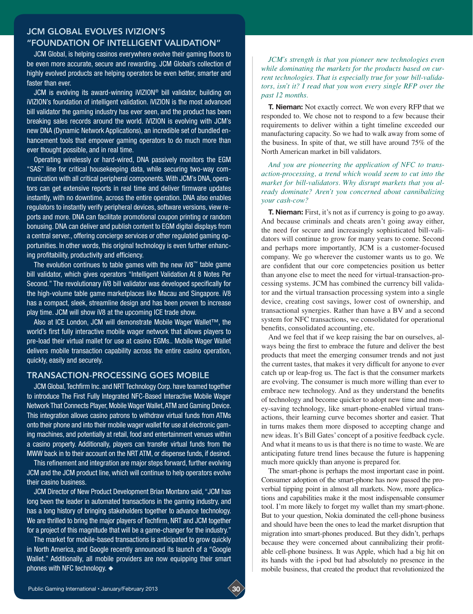## JCM GLOBAL EVOLVES IVIZION'S "FOUNDATION OF INTELLIGENT VALIDATION"

JCM Global, is helping casinos everywhere evolve their gaming floors to be even more accurate, secure and rewarding. JCM Global's collection of highly evolved products are helping operators be even better, smarter and faster than ever.

JCM is evolving its award-winning iVIZION® bill validator, building on iVIZION's foundation of intelligent validation. iVIZION is the most advanced bill validator the gaming industry has ever seen, and the product has been breaking sales records around the world. iVIZION is evolving with JCM's new DNA (Dynamic Network Applications), an incredible set of bundled enhancement tools that empower gaming operators to do much more than ever thought possible, and in real time.

Operating wirelessly or hard-wired, DNA passively monitors the EGM "SAS" line for critical housekeeping data, while securing two-way communication with all critical peripheral components. With JCM's DNA, operators can get extensive reports in real time and deliver firmware updates instantly, with no downtime, across the entire operation. DNA also enables regulators to instantly verify peripheral devices, software versions, view reports and more. DNA can facilitate promotional coupon printing or random bonusing. DNA can deliver and publish content to EGM digital displays from a central server., offering concierge services or other regulated gaming opportunities. In other words, this original technology is even further enhancing profitability, productivity and efficiency.

The evolution continues to table games with the new iV8™ table game bill validator, which gives operators "Intelligent Validation At 8 Notes Per Second." The revolutionary iV8 bill validator was developed specifically for the high-volume table game marketplaces like Macau and Singapore. iV8 has a compact, sleek, streamline design and has been proven to increase play time. JCM will show iV8 at the upcoming ICE trade show.

Also at ICE London, JCM will demonstrate Mobile Wager Wallet™, the world's first fully interactive mobile wager network that allows players to pre-load their virtual mallet for use at casino EGMs.. Mobile Wager Wallet delivers mobile transaction capability across the entire casino operation, quickly, easily and securely.

### TRANSACTION-PROCESSING GOES MOBILE

JCM Global, Techfirm Inc. and NRT Technology Corp. have teamed together to introduce The First Fully Integrated NFC-Based Interactive Mobile Wager Network That Connects Player, Mobile Wager Wallet, ATM and Gaming Device. This integration allows casino patrons to withdraw virtual funds from ATMs onto their phone and into their mobile wager wallet for use at electronic gaming machines, and potentially at retail, food and entertainment venues within a casino property. Additionally, players can transfer virtual funds from the MWW back in to their account on the NRT ATM, or dispense funds, if desired.

This refinement and integration are major steps forward, further evolving JCM and the JCM product line, which will continue to help operators evolve their casino business.

JCM Director of New Product Development Brian Montano said, "JCM has long been the leader in automated transactions in the gaming industry, and has a long history of bringing stakeholders together to advance technology. We are thrilled to bring the major players of Techfirm, NRT and JCM together for a project of this magnitude that will be a game-changer for the industry."

The market for mobile-based transactions is anticipated to grow quickly in North America, and Google recently announced its launch of a "Google Wallet." Additionally, all mobile providers are now equipping their smart phones with NFC technology.  $\triangleleft$ 

*JCM's strength is that you pioneer new technologies even while dominating the markets for the products based on current technologies. That is especially true for your bill-validators, isn't it? I read that you won every single RFP over the past 12 months.*

**T. Nieman:** Not exactly correct. We won every RFP that we responded to. We chose not to respond to a few because their requirements to deliver within a tight timeline exceeded our manufacturing capacity. So we had to walk away from some of the business. In spite of that, we still have around 75% of the North American market in bill validators.

*And you are pioneering the application of NFC to transaction-processing, a trend which would seem to cut into the market for bill-validators. Why disrupt markets that you already dominate? Aren't you concerned about cannibalizing your cash-cow?*

**T. Nieman:** First, it's not as if currency is going to go away. And because criminals and cheats aren't going away either, the need for secure and increasingly sophisticated bill-validators will continue to grow for many years to come. Second and perhaps more importantly, JCM is a customer-focused company. We go wherever the customer wants us to go. We are confident that our core competencies position us better than anyone else to meet the need for virtual-transaction-processing systems. JCM has combined the currency bill validator and the virtual transaction processing system into a single device, creating cost savings, lower cost of ownership, and transactional synergies. Rather than have a BV and a second system for NFC transactions, we consolidated for operational benefits, consolidated accounting, etc.

And we feel that if we keep raising the bar on ourselves, always being the first to embrace the future and deliver the best products that meet the emerging consumer trends and not just the current tastes, that makes it very difficult for anyone to ever catch up or leap-frog us. The fact is that the consumer markets are evolving. The consumer is much more willing than ever to embrace new technology. And as they understand the benefits of technology and become quicker to adopt new time and money-saving technology, like smart-phone-enabled virtual transactions, their learning curve becomes shorter and easier. That in turns makes them more disposed to accepting change and new ideas. It's Bill Gates' concept of a positive feedback cycle. And what it means to us is that there is no time to waste. We are anticipating future trend lines because the future is happening much more quickly than anyone is prepared for.

The smart-phone is perhaps the most important case in point. Consumer adoption of the smart-phone has now passed the proverbial tipping point in almost all markets. Now, more applications and capabilities make it the most indispensable consumer tool. I'm more likely to forget my wallet than my smart-phone. But to your question, Nokia dominated the cell-phone business and should have been the ones to lead the market disruption that migration into smart-phones produced. But they didn't, perhaps because they were concerned about cannibalizing their profitable cell-phone business. It was Apple, which had a big hit on its hands with the i-pod but had absolutely no presence in the mobile business, that created the product that revolutionized the